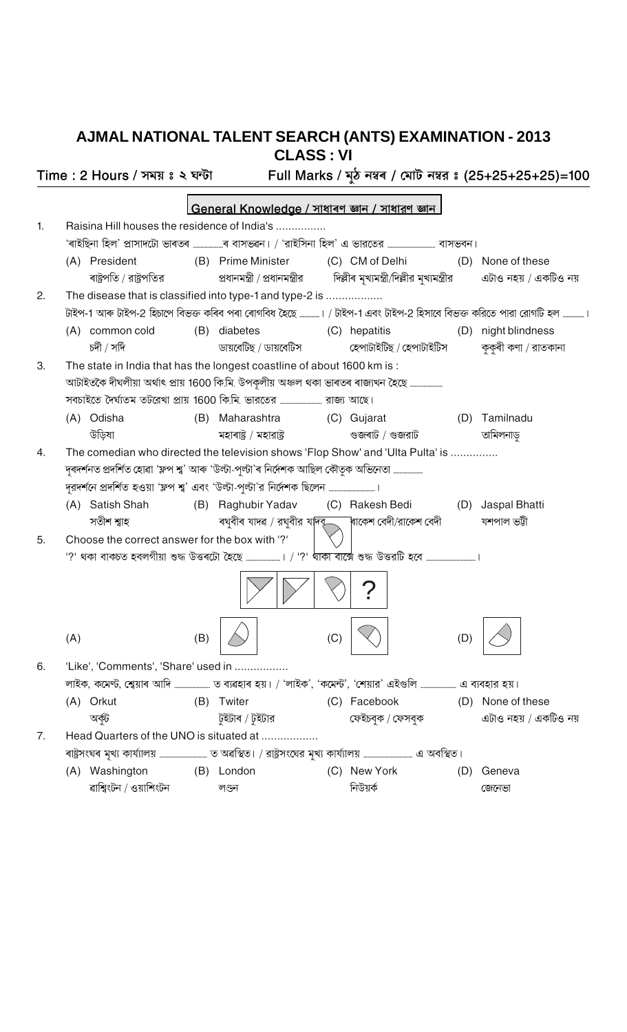## AJMAL NATIONAL TALENT SEARCH (ANTS) EXAMINATION - 2013 **CLASS: VI**

Full Marks / মুঠ নম্বৰ / মোট নম্বর ঃ (25+25+25+25)=100 Time: 2 Hours / সময় ঃ ২ ঘন্টা |General Knowledge / সাধাৰণ জ্ঞান / সাধারণ জ্ঞান Raisina Hill houses the residence of India's ................ 1. 'ৰাইছিনা হিল' প্ৰাসাদটো ভাৰতৰ …….. .........ৰ বাসভৱন। / 'রাইসিনা হিল' এ ভারতের ......................... বাসভবন। (A) President (C) CM of Delhi (B) Prime Minister (D) None of these ৰাষ্ট্ৰপতি / রাষ্ট্ৰপতির প্ৰধানমন্ত্ৰী / প্ৰধানমন্ত্ৰীর দিল্লীৰ মৃখ্যমন্ত্ৰী/দিল্লীর মুখ্যমন্ত্ৰীর এটাও নহয় / একটিও নয়  $\mathcal{P}_{\mathcal{C}}$ The disease that is classified into type-1 and type-2 is .................. টাইপ-1 আৰু টাইপ-2 হিচাপে বিভক্ত কৰিব পৰা ৰোগবিধ হৈছে …………। / টাইপ-1 এবং টাইপ-2 হিসাবে বিভক্ত করিতে পারা রোগটি হল …… (B) diabetes (A) common cold (C) hepatitis (D) night blindness চৰ্দী / সৰ্দি ডায়বেটিছ / ডায়বেটিস হেপাটাইটিছ / হেপাটাইটিস কুকুৰী কণা / রাতকানা 3. The state in India that has the longest coastline of about 1600 km is: আটাইতকৈ দীঘলীয়া অৰ্থাৎ প্ৰায় 1600 কি.মি. উপকূলীয় অঞ্চল থকা ভাৰতৰ ৰাজ্যখন হৈছে ...... সবচাইতে দৈর্ঘ্যতম তটরেখা প্রায় 1600 কি.মি. ভারতের ................... ....... রাজ্য আছে। (A) Odisha (B) Maharashtra (C) Gujarat (D) Tamilnadu উডিষা মহাৰাষ্ট / মহারাষ্ট গুজৰাট / গুজরাট তামিলনাড় The comedian who directed the television shows 'Flop Show' and 'Ulta Pulta' is ..............  $\overline{4}$ . দুৰদৰ্শনত প্ৰদৰ্শিত হোৱা 'ফ্লপ শ্ব' আৰু 'উল্টা-পূল্টা'ৰ নিৰ্দেশক আছিল কৌতৃক অভিনেতা ....... (A) Satish Shah (B) Raghubir Yadav (C) Rakesh Bedi (D) Jaspal Bhatti সতীশ শ্বাহ ৰঘ্বীৰ যাদৱ / রঘ্বীর যদিবূ ৰাকেশ বেদী/রাকেশ বেদী যশপাল ভট্টী Choose the correct answer for the box with '?' 5. '?' থকা বাকচত হবলগীয়া শুদ্ধ উত্তৰটো হৈছে .......  $(A)$  $(B)$  $(C)$ 'Like', 'Comments', 'Share' used in ................. 6. লাইক, কমেণ্ট, শ্বেয়াৰ আদি ........................ ত ব্যৱহাৰ হয়। / 'লাইক', 'কমেন্ট', 'শেয়ার' এইগুলি .......................... এ ব্যবহার হয়। (A) Orkut (B) Twiter (C) Facebook (D) None of these অৰ্কট টুইটাৰ / টুইটার ফেইচবুক / ফেসবুক এটাও নহয় / একটিও নয়  $7.$ Head Quarters of the UNO is situated at .................. (A) Washington (B) London (C) New York (D) Geneva ৱাশ্বিংটন / ওয়াশিংটন লণ্ডন নিউয়র্ক জেনেভা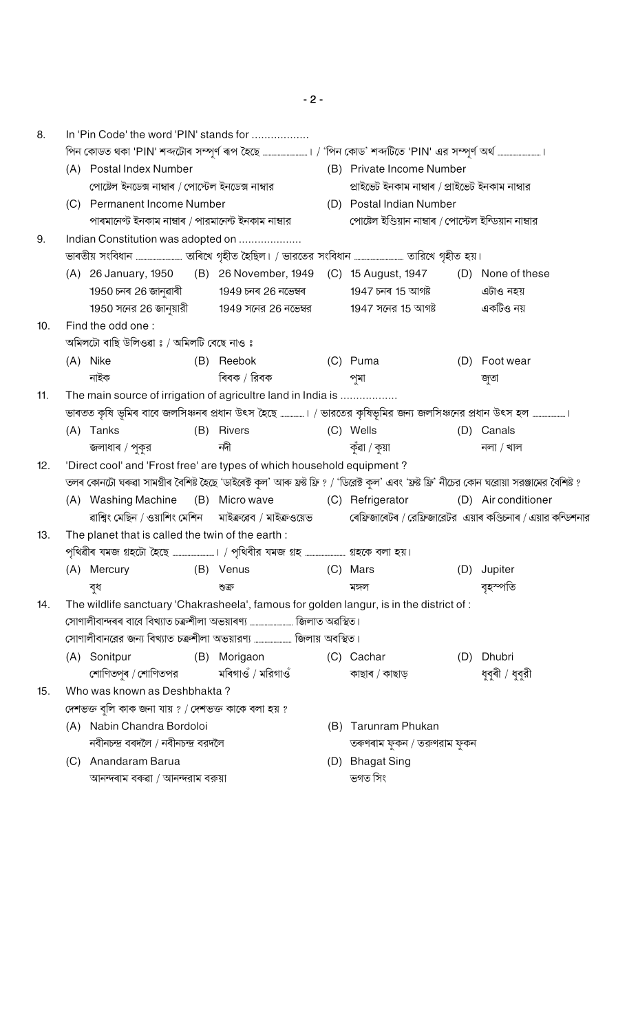| 8.  | In 'Pin Code' the word 'PIN' stands for                                                                                                       |                                                      |  |                                                                                                                  |                           |                                                 |                                                         |                                                                 |  |  |  |  |
|-----|-----------------------------------------------------------------------------------------------------------------------------------------------|------------------------------------------------------|--|------------------------------------------------------------------------------------------------------------------|---------------------------|-------------------------------------------------|---------------------------------------------------------|-----------------------------------------------------------------|--|--|--|--|
|     |                                                                                                                                               |                                                      |  | পিন কোডত থকা 'PIN' শব্দটোৰ সম্পূৰ্ণ ৰূপ হৈছে …………………………। / 'পিন কোড' শব্দটিতে 'PIN' এর সম্পূৰ্ণ অৰ্থ ………………………।  |                           |                                                 |                                                         |                                                                 |  |  |  |  |
|     | (A) Postal Index Number                                                                                                                       |                                                      |  |                                                                                                                  | (B) Private Income Number |                                                 |                                                         |                                                                 |  |  |  |  |
|     |                                                                                                                                               | পোষ্টেল ইনডেক্স নাম্বাৰ / পোর্স্টেল ইনডেক্স নাম্বার  |  |                                                                                                                  |                           | প্ৰাইভেট ইনকাম নাম্বাৰ / প্ৰাইভেট ইনকাম নাম্বার |                                                         |                                                                 |  |  |  |  |
|     |                                                                                                                                               | (C) Permanent Income Number                          |  |                                                                                                                  |                           | (D) Postal Indian Number                        |                                                         |                                                                 |  |  |  |  |
|     |                                                                                                                                               | পাৰমানেণ্ট ইনকাম নাম্বাৰ / পারমানেন্ট ইনকাম নাম্বার  |  |                                                                                                                  |                           |                                                 | পোষ্টেল ইণ্ডিয়ান নাম্বাৰ / পোর্স্টেল ইন্ডিয়ান নাম্বার |                                                                 |  |  |  |  |
| 9.  |                                                                                                                                               | Indian Constitution was adopted on                   |  |                                                                                                                  |                           |                                                 |                                                         |                                                                 |  |  |  |  |
|     |                                                                                                                                               |                                                      |  |                                                                                                                  |                           |                                                 |                                                         |                                                                 |  |  |  |  |
|     |                                                                                                                                               |                                                      |  | (A) 26 January, 1950 (B) 26 November, 1949 (C) 15 August, 1947 (D) None of these                                 |                           |                                                 |                                                         |                                                                 |  |  |  |  |
|     |                                                                                                                                               |                                                      |  | 1950 চনৰ 26 জানুৱাৰী              1949 চনৰ 26 নভেম্বৰ                  1947 চনৰ 15 আগষ্ট                         |                           |                                                 |                                                         | এটাও নহয়                                                       |  |  |  |  |
|     |                                                                                                                                               |                                                      |  | 1950 সনের 26 জানুয়ারী           1949 সনের 26 নভেম্বর               1947 সনের 15 আগষ্ট                           |                           |                                                 |                                                         | একটিও নয়                                                       |  |  |  |  |
| 10. | Find the odd one:                                                                                                                             |                                                      |  |                                                                                                                  |                           |                                                 |                                                         |                                                                 |  |  |  |  |
|     | অমিলটো বাছি উলিওৱা ঃ / অমিলটি বেছে নাও ঃ                                                                                                      |                                                      |  |                                                                                                                  |                           |                                                 |                                                         |                                                                 |  |  |  |  |
|     |                                                                                                                                               | (A) Nike                                             |  | (B) Reebok                                                                                                       |                           | (C) Puma                                        |                                                         | (D) Foot wear                                                   |  |  |  |  |
|     |                                                                                                                                               | নাইক                                                 |  | ৰিবক / রিবক                                                                                                      |                           | পমা                                             |                                                         | জুতা                                                            |  |  |  |  |
| 11. |                                                                                                                                               |                                                      |  | The main source of irrigation of agricultre land in India is                                                     |                           |                                                 |                                                         |                                                                 |  |  |  |  |
|     |                                                                                                                                               |                                                      |  | ভাৰতত কৃষি ভূমিৰ বাবে জলসিঞ্চনৰ প্ৰধান উৎস হৈছে ………….। / ভারতের কৃষিভূমির জন্য জলসিঞ্চনের প্রধান উৎস হল ……………….। |                           |                                                 |                                                         |                                                                 |  |  |  |  |
|     |                                                                                                                                               | (A) Tanks                                            |  | (B) Rivers                                                                                                       |                           | (C) Wells                                       |                                                         | (D) Canals                                                      |  |  |  |  |
|     |                                                                                                                                               | জলাধাৰ / পুকুর                                       |  | নদী                                                                                                              |                           | কুঁৱা / কুয়া                                   |                                                         | নলা / খাল                                                       |  |  |  |  |
| 12. | 'Direct cool' and 'Frost free' are types of which household equipment?                                                                        |                                                      |  |                                                                                                                  |                           |                                                 |                                                         |                                                                 |  |  |  |  |
|     | তলৰ কোনটো ঘৰুৱা সামগ্ৰীৰ বৈশিষ্ট হৈছে 'ডাইৰেক্ট কুল' আৰু ফ্ৰষ্ট ফ্ৰি ? / 'ডিৱেক্ট কুল' এবং 'ফ্ৰষ্ট ফ্ৰি' নীচের কোন ঘরোয়া সরঞ্জামের বৈশিষ্ট ? |                                                      |  |                                                                                                                  |                           |                                                 |                                                         |                                                                 |  |  |  |  |
|     |                                                                                                                                               | (A) Washing Machine                                  |  | (B) Micro wave (C) Refrigerator                                                                                  |                           |                                                 |                                                         | (D) Air conditioner                                             |  |  |  |  |
|     |                                                                                                                                               |                                                      |  | ৱাশ্বিং মেছিন / ওয়াশিং মেশিন     মাইক্ৰৱেব / মাইক্ৰওয়েভ                                                        |                           |                                                 |                                                         | ৰেফ্ৰিজাৰেটৰ / রেফ্ৰিজারেটর  এয়াৰ কণ্ডিচ্নাৰ / এয়ার কন্ডিশনার |  |  |  |  |
| 13. |                                                                                                                                               | The planet that is called the twin of the earth:     |  |                                                                                                                  |                           |                                                 |                                                         |                                                                 |  |  |  |  |
|     |                                                                                                                                               |                                                      |  | পৃথিৱীৰ যমজ গ্ৰহটো হৈছে ………………………। / পৃথিবীর যমজ গ্ৰহ ……………………… গ্ৰহকে বলা হয়।                                  |                           |                                                 |                                                         |                                                                 |  |  |  |  |
|     |                                                                                                                                               | (A) Mercury<br>(B) Venus                             |  |                                                                                                                  |                           | (C) Mars                                        |                                                         | (D) Jupiter                                                     |  |  |  |  |
|     |                                                                                                                                               | বধ                                                   |  | ণ্ডক্র                                                                                                           |                           | মঙ্গল                                           |                                                         | বৃহস্পতি                                                        |  |  |  |  |
| 14. |                                                                                                                                               |                                                      |  | The wildlife sanctuary 'Chakrasheela', famous for golden langur, is in the district of :                         |                           |                                                 |                                                         |                                                                 |  |  |  |  |
|     |                                                                                                                                               |                                                      |  |                                                                                                                  |                           |                                                 |                                                         |                                                                 |  |  |  |  |
|     |                                                                                                                                               |                                                      |  | সোণালীবানরের জন্য বিখ্যাত চক্রশীলা অভয়ারণ্য  জিলায় অবস্থিত।                                                    |                           |                                                 |                                                         |                                                                 |  |  |  |  |
|     |                                                                                                                                               | (A) Sonitpur                                         |  | (B) Morigaon                                                                                                     |                           | (C) Cachar                                      | (D)                                                     | Dhubri                                                          |  |  |  |  |
|     |                                                                                                                                               | শোণিতপুৰ / শোণিতপর                                   |  | মৰিগাওঁ / মরিগাওঁ                                                                                                |                           | কাছাৰ / কাছাড়                                  |                                                         | ধুবুৰী / ধুবুরী                                                 |  |  |  |  |
| 15. |                                                                                                                                               | Who was known as Deshbhakta?                         |  |                                                                                                                  |                           |                                                 |                                                         |                                                                 |  |  |  |  |
|     |                                                                                                                                               | দেশভক্ত বুলি কাক জনা যায় ? / দেশভক্ত কাকে বলা হয় ? |  |                                                                                                                  |                           |                                                 |                                                         |                                                                 |  |  |  |  |
|     |                                                                                                                                               | (A) Nabin Chandra Bordoloi                           |  |                                                                                                                  | (B)                       | Tarunram Phukan                                 |                                                         |                                                                 |  |  |  |  |
|     |                                                                                                                                               | নবীনচন্দ্ৰ বৰদলৈ / নবীনচন্দ্ৰ বরদলৈ                  |  |                                                                                                                  |                           | তৰুণৰাম ফুকন / তরুণরাম ফুকন                     |                                                         |                                                                 |  |  |  |  |
|     | (C)                                                                                                                                           | Anandaram Barua                                      |  |                                                                                                                  |                           | (D) Bhagat Sing                                 |                                                         |                                                                 |  |  |  |  |
|     | আনন্দৰাম বৰুৱা / আনন্দরাম বরুয়া                                                                                                              |                                                      |  |                                                                                                                  |                           | ভগত সিং                                         |                                                         |                                                                 |  |  |  |  |

 $-2-$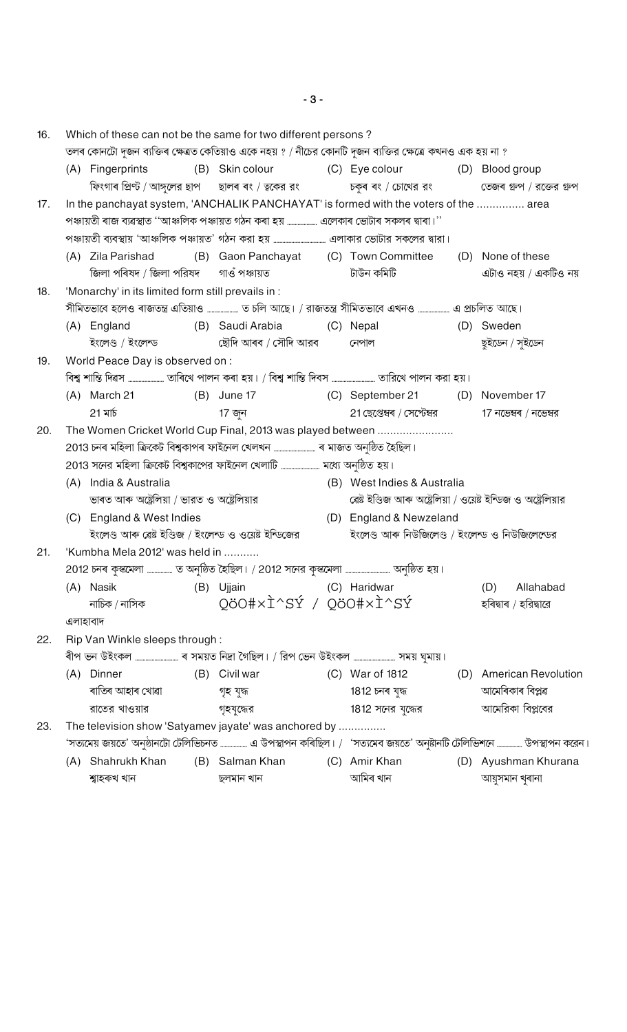$16<sub>1</sub>$ Which of these can not be the same for two different persons? তলৰ কোনটো দজন ব্যক্তিৰ ক্ষেত্ৰত কেতিয়াও একে নহয় ? / নীচের কোনটি দজন ব্যক্তির ক্ষেত্রে কখনও এক হয় না ? (A) Fingerprints (B) Skin colour (C) Eye colour (D) Blood group ফিংগাৰ প্ৰিণ্ট / আঙ্গলের ছাপ ছালৰ ৰং / ত্বকের রং চকুৰ ৰং / চোখের রং তেজৰ গুপ / রক্তের গুপ In the panchayat system, 'ANCHALIK PANCHAYAT' is formed with the voters of the ............... area  $17<sup>7</sup>$ পঞ্চায়তী ৰাজ ব্যৱস্থাত ''আঞ্চলিক পঞ্চায়ত গঠন কৰা হয় ................... এলেকাৰ ভোটাৰ সকলৰ দ্বাৰা।'' (B) Gaon Panchayat (C) Town Committee (D) None of these (A) Zila Parishad জিলা পৰিষদ / জিলা পরিষদ গাওঁ পঞ্চায়ত টাউন কমিটি এটাও নহয় / একটিও নয়  $18.$ 'Monarchy' in its limited form still prevails in : সীমিতভাবে হলেও ৰাজতন্ত্ৰ এতিয়াও .................... ত চলি আছে। / রাজতন্ত্র সীমিতভাবে এখনও ................... এ প্রচলিত আছে। (B) Saudi Arabia (A) England (D) Sweden (C) Nepal ইংলেণ্ড / ইংলেন্ড ছৌদি আৰব / সৌদি আরব ছুইডেন / সুইডেন নেপাল 19. World Peace Day is observed on : (B) June 17 (C) September 21  $(A)$  March 21 (D) November 17 21 মাৰ্চ 17 জন 21 ছেপ্তেম্বৰ / সেপ্টেম্বর  $17$  নভেম্বৰ / নভেম্বর The Women Cricket World Cup Final, 2013 was played between ...................... 20. (A) India & Australia (B) West Indies & Australia ভাৰত আৰু অষ্ট্ৰেলিয়া / ভারত ও অষ্ট্ৰেলিয়ার ৱেষ্ট ইণ্ডিজ আৰু অষ্ট্ৰেলিয়া / ওয়েষ্ট ইন্ডিজ ও অষ্ট্ৰেলিয়ার (C) England & West Indies (D) England & Newzeland ইংলেণ্ড আৰু ৱেষ্ট ইণ্ডিজ / ইংলেন্ড ও ওয়েষ্ট ইন্ডিজের ইংলেণ্ড আৰু নিউজিলেণ্ড / ইংলেন্ড ও নিউজিলেন্ডের 'Kumbha Mela 2012' was held in ..........  $21$ (B) Ujjain (A) Nasik (C) Haridwar  $(D)$ Allahabad QöO#xÌ^SÝ / QöO#xÌ^SÝ নাচিক / নাসিক হৰিদ্বাৰ / হরিদ্বারে এলাহাবাদ  $22.$ Rip Van Winkle sleeps through : (B) Civil war (A) Dinner (C) War of 1812 (D) American Revolution আমেৰিকাৰ বিপ্লৱ ৰাতিৰ আহাৰ খোৱা গৃহ যুদ্ধ 1812 চনৰ যুদ্ধ আমেরিকা বিপ্লবের রাতের খাওয়ার গৃহযুদ্ধের 1812 সনের যুদ্ধের The television show 'Satyamev jayate' was anchored by ............... 23. 'সত্যমেয় জয়তে' অনুষ্ঠানটো টেলিভিচনত ……………… এ উপস্থাপন কৰিছিল। / 'সত্যমেব জয়তে' অনুষ্টানটি টেলিভিশনে …………… উপস্থাপন করেন। (A) Shahrukh Khan (B) Salman Khan (C) Amir Khan (D) Ayushman Khurana শ্বাহৰুখ খান ছলমান খান আমিৰ খান আয়ুসমান খুৰানা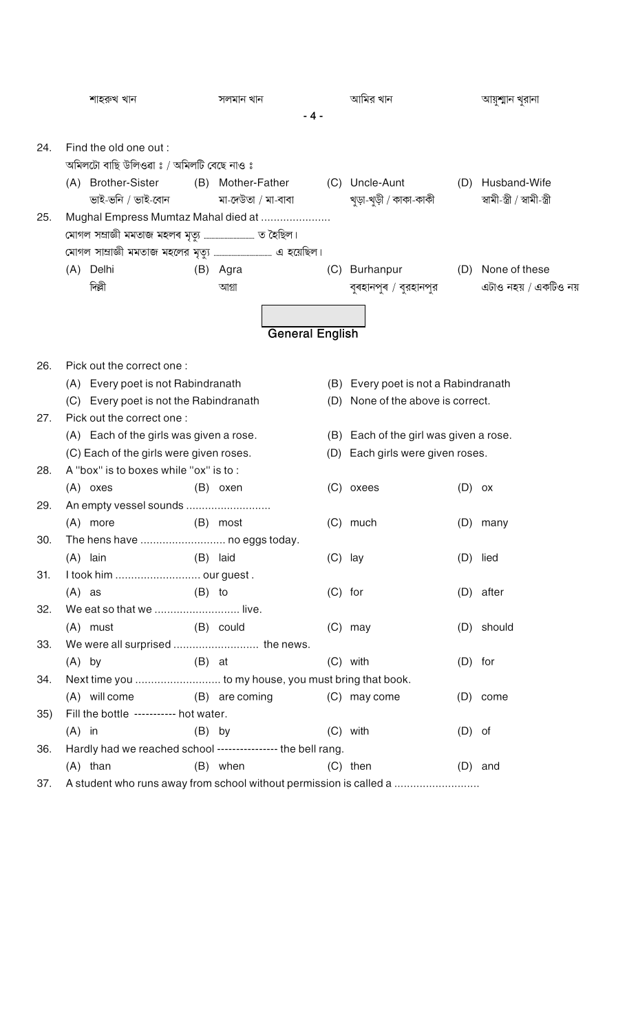|     | শাহরুখ খান          |                                          |          | সলমান খান                                                    |           | আমির খান                                                           |           | আয়ুশ্মান খুরানা                                  |
|-----|---------------------|------------------------------------------|----------|--------------------------------------------------------------|-----------|--------------------------------------------------------------------|-----------|---------------------------------------------------|
|     |                     |                                          |          | $-4-$                                                        |           |                                                                    |           |                                                   |
|     |                     |                                          |          |                                                              |           |                                                                    |           |                                                   |
| 24. |                     | Find the old one out :                   |          |                                                              |           |                                                                    |           |                                                   |
|     |                     | অমিলটো বাছি উলিওৱা ঃ / অমিলটি বেছে নাও ঃ |          |                                                              |           |                                                                    |           |                                                   |
|     | (A) Brother-Sister  |                                          |          | (B) Mother-Father                                            |           | (C) Uncle-Aunt                                                     |           | (D) Husband-Wife<br>স্বামী-স্ত্ৰী / স্বামী-স্ত্ৰী |
|     |                     | ভাই-ভনি / ভাই-বোন                        |          | মা-দেউতা / মা-বাবা                                           |           | খুড়া-খুড়ী / কাকা-কাকী                                            |           |                                                   |
| 25. |                     |                                          |          | Mughal Empress Mumtaz Mahal died at                          |           |                                                                    |           |                                                   |
|     |                     |                                          |          |                                                              |           |                                                                    |           |                                                   |
|     |                     |                                          |          |                                                              |           |                                                                    |           |                                                   |
|     | (A) Delhi<br>দিল্লী |                                          |          | (B) Agra                                                     | (C)       | Burhanpur                                                          |           | (D) None of these                                 |
|     |                     |                                          |          | আগ্ৰা                                                        |           | বুৰহানপুৰ / বুরহানপুর                                              |           | এটাও নহয় / একটিও নয়                             |
|     |                     |                                          |          |                                                              |           |                                                                    |           |                                                   |
|     |                     |                                          |          | <b>General English</b>                                       |           |                                                                    |           |                                                   |
|     |                     |                                          |          |                                                              |           |                                                                    |           |                                                   |
| 26. |                     | Pick out the correct one:                |          |                                                              |           |                                                                    |           |                                                   |
|     |                     | (A) Every poet is not Rabindranath       |          |                                                              |           | (B) Every poet is not a Rabindranath                               |           |                                                   |
|     |                     | (C) Every poet is not the Rabindranath   |          |                                                              |           | (D) None of the above is correct.                                  |           |                                                   |
| 27. |                     | Pick out the correct one:                |          |                                                              |           |                                                                    |           |                                                   |
|     |                     | (A) Each of the girls was given a rose.  |          |                                                              |           | (B) Each of the girl was given a rose.                             |           |                                                   |
|     |                     | (C) Each of the girls were given roses.  |          |                                                              | (D)       | Each girls were given roses.                                       |           |                                                   |
| 28. |                     | A "box" is to boxes while "ox" is to:    |          |                                                              |           |                                                                    |           |                                                   |
|     | $(A)$ oxes          |                                          |          | (B) oxen                                                     |           | (C) oxees                                                          | $(D)$ ox  |                                                   |
| 29. |                     | An empty vessel sounds                   |          |                                                              |           |                                                                    |           |                                                   |
|     | (A) more            |                                          |          | (B) most                                                     |           | $(C)$ much                                                         | (D)       | many                                              |
| 30. |                     |                                          |          | The hens have  no eggs today.                                |           |                                                                    |           |                                                   |
|     | $(A)$ lain          |                                          |          | (B) laid                                                     | $(C)$ lay |                                                                    |           | (D) lied                                          |
| 31. |                     | I took him  our guest.                   |          |                                                              |           |                                                                    |           |                                                   |
|     | $(A)$ as            |                                          | $(B)$ to |                                                              | $(C)$ for |                                                                    |           | (D) after                                         |
| 32. |                     | We eat so that we  live.                 |          |                                                              |           |                                                                    |           |                                                   |
|     | (A) must            |                                          |          | (B) could                                                    |           | $(C)$ may                                                          |           | (D) should                                        |
| 33. |                     |                                          |          |                                                              |           |                                                                    |           |                                                   |
|     | $(A)$ by            |                                          | $(B)$ at |                                                              |           | $(C)$ with                                                         | $(D)$ for |                                                   |
| 34. |                     |                                          |          | Next time you  to my house, you must bring that book.        |           |                                                                    |           |                                                   |
|     | (A) will come       |                                          |          | (B) are coming                                               |           | (C) may come                                                       |           | $(D)$ come                                        |
| 35) |                     | Fill the bottle ---------- hot water.    |          |                                                              |           |                                                                    |           |                                                   |
|     | $(A)$ in            |                                          | $(B)$ by |                                                              |           | $(C)$ with                                                         | $(D)$ of  |                                                   |
| 36. |                     |                                          |          | Hardly had we reached school ---------------- the bell rang. |           |                                                                    |           |                                                   |
|     | $(A)$ than          |                                          |          | (B) when                                                     |           | $(C)$ then                                                         |           | $(D)$ and                                         |
| 37. |                     |                                          |          |                                                              |           | A student who runs away from school without permission is called a |           |                                                   |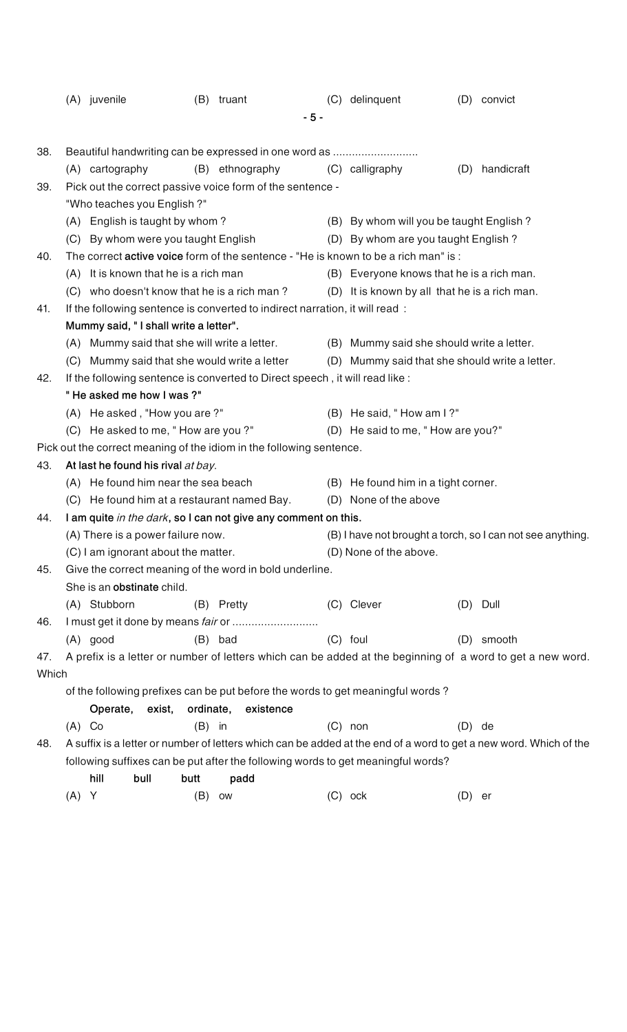|       |                                                                              | (A) juvenile                                                                        |          | (B) truant          |       | (C) delinquent                                |                                                            | (D) convict                                                                                                       |  |  |  |
|-------|------------------------------------------------------------------------------|-------------------------------------------------------------------------------------|----------|---------------------|-------|-----------------------------------------------|------------------------------------------------------------|-------------------------------------------------------------------------------------------------------------------|--|--|--|
|       |                                                                              |                                                                                     |          |                     | $-5-$ |                                               |                                                            |                                                                                                                   |  |  |  |
|       |                                                                              |                                                                                     |          |                     |       |                                               |                                                            |                                                                                                                   |  |  |  |
| 38.   |                                                                              | Beautiful handwriting can be expressed in one word as                               |          |                     |       |                                               |                                                            |                                                                                                                   |  |  |  |
|       |                                                                              | (A) cartography                                                                     |          | (B) ethnography     |       | (C) calligraphy                               | (D)                                                        | handicraft                                                                                                        |  |  |  |
| 39.   |                                                                              | Pick out the correct passive voice form of the sentence -                           |          |                     |       |                                               |                                                            |                                                                                                                   |  |  |  |
|       |                                                                              | "Who teaches you English ?"                                                         |          |                     |       |                                               |                                                            |                                                                                                                   |  |  |  |
|       |                                                                              | (A) English is taught by whom?                                                      |          |                     |       | (B) By whom will you be taught English?       |                                                            |                                                                                                                   |  |  |  |
|       |                                                                              | (C) By whom were you taught English                                                 |          |                     |       | (D) By whom are you taught English?           |                                                            |                                                                                                                   |  |  |  |
| 40.   |                                                                              | The correct active voice form of the sentence - "He is known to be a rich man" is : |          |                     |       |                                               |                                                            |                                                                                                                   |  |  |  |
|       |                                                                              | (A) It is known that he is a rich man                                               |          |                     |       | (B) Everyone knows that he is a rich man.     |                                                            |                                                                                                                   |  |  |  |
|       |                                                                              | (C) who doesn't know that he is a rich man?                                         |          |                     |       | (D) It is known by all that he is a rich man. |                                                            |                                                                                                                   |  |  |  |
| 41.   |                                                                              | If the following sentence is converted to indirect narration, it will read:         |          |                     |       |                                               |                                                            |                                                                                                                   |  |  |  |
|       |                                                                              | Mummy said, "I shall write a letter".                                               |          |                     |       |                                               |                                                            |                                                                                                                   |  |  |  |
|       |                                                                              | (A) Mummy said that she will write a letter.                                        |          |                     |       | (B) Mummy said she should write a letter.     |                                                            |                                                                                                                   |  |  |  |
|       |                                                                              | (C) Mummy said that she would write a letter                                        |          |                     |       |                                               |                                                            | (D) Mummy said that she should write a letter.                                                                    |  |  |  |
| 42.   | If the following sentence is converted to Direct speech, it will read like : |                                                                                     |          |                     |       |                                               |                                                            |                                                                                                                   |  |  |  |
|       |                                                                              | "He asked me how I was ?"                                                           |          |                     |       |                                               |                                                            |                                                                                                                   |  |  |  |
|       |                                                                              | (A) He asked, "How you are?"                                                        |          |                     |       | (B) He said, "How am I?"                      |                                                            |                                                                                                                   |  |  |  |
|       |                                                                              | (C) He asked to me, "How are you?"                                                  |          |                     |       | (D) He said to me, "How are you?"             |                                                            |                                                                                                                   |  |  |  |
|       |                                                                              | Pick out the correct meaning of the idiom in the following sentence.                |          |                     |       |                                               |                                                            |                                                                                                                   |  |  |  |
| 43.   |                                                                              | At last he found his rival at bay.                                                  |          |                     |       |                                               |                                                            |                                                                                                                   |  |  |  |
|       |                                                                              | (A) He found him near the sea beach                                                 |          |                     |       | (B) He found him in a tight corner.           |                                                            |                                                                                                                   |  |  |  |
|       |                                                                              | (C) He found him at a restaurant named Bay.                                         |          |                     |       | (D) None of the above                         |                                                            |                                                                                                                   |  |  |  |
| 44.   |                                                                              | I am quite in the dark, so I can not give any comment on this.                      |          |                     |       |                                               |                                                            |                                                                                                                   |  |  |  |
|       |                                                                              | (A) There is a power failure now.                                                   |          |                     |       |                                               | (B) I have not brought a torch, so I can not see anything. |                                                                                                                   |  |  |  |
|       |                                                                              | (C) I am ignorant about the matter.                                                 |          |                     |       | (D) None of the above.                        |                                                            |                                                                                                                   |  |  |  |
| 45.   |                                                                              | Give the correct meaning of the word in bold underline.                             |          |                     |       |                                               |                                                            |                                                                                                                   |  |  |  |
|       |                                                                              | She is an obstinate child.                                                          |          |                     |       |                                               |                                                            |                                                                                                                   |  |  |  |
|       |                                                                              | (A) Stubborn                                                                        |          | (B) Pretty          |       | (C) Clever                                    |                                                            | (D) Dull                                                                                                          |  |  |  |
| 46.   |                                                                              |                                                                                     |          |                     |       |                                               |                                                            |                                                                                                                   |  |  |  |
|       |                                                                              | $(A)$ good                                                                          |          | $(B)$ bad           |       | (C) foul                                      |                                                            | (D) smooth                                                                                                        |  |  |  |
| 47.   |                                                                              |                                                                                     |          |                     |       |                                               |                                                            | A prefix is a letter or number of letters which can be added at the beginning of a word to get a new word.        |  |  |  |
| Which |                                                                              |                                                                                     |          |                     |       |                                               |                                                            |                                                                                                                   |  |  |  |
|       |                                                                              | of the following prefixes can be put before the words to get meaningful words?      |          |                     |       |                                               |                                                            |                                                                                                                   |  |  |  |
|       |                                                                              | Operate, exist,                                                                     |          | ordinate, existence |       |                                               |                                                            |                                                                                                                   |  |  |  |
|       | $(A)$ Co                                                                     |                                                                                     | $(B)$ in |                     |       | $(C)$ non                                     | (D)                                                        | de                                                                                                                |  |  |  |
| 48.   |                                                                              |                                                                                     |          |                     |       |                                               |                                                            | A suffix is a letter or number of letters which can be added at the end of a word to get a new word. Which of the |  |  |  |
|       |                                                                              | following suffixes can be put after the following words to get meaningful words?    |          |                     |       |                                               |                                                            |                                                                                                                   |  |  |  |
|       |                                                                              | hill<br>bull                                                                        | butt     | padd                |       |                                               |                                                            |                                                                                                                   |  |  |  |
|       | $(A)$ Y                                                                      |                                                                                     | (B)      | OW                  |       | $(C)$ ock                                     | $(D)$ er                                                   |                                                                                                                   |  |  |  |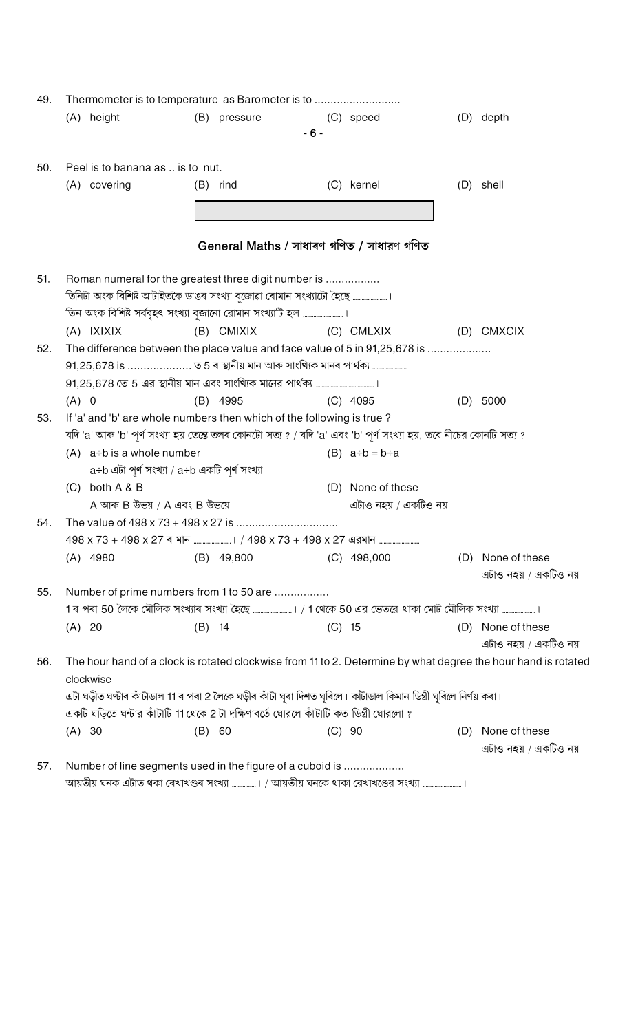| 49. |                                                             | Thermometer is to temperature as Barometer is to                                                                    |          |                                           |          |                           |     |                                                                                                               |  |  |  |  |
|-----|-------------------------------------------------------------|---------------------------------------------------------------------------------------------------------------------|----------|-------------------------------------------|----------|---------------------------|-----|---------------------------------------------------------------------------------------------------------------|--|--|--|--|
|     |                                                             | (A) height                                                                                                          |          | (B) pressure                              |          | (C) speed                 |     | (D) depth                                                                                                     |  |  |  |  |
|     |                                                             |                                                                                                                     |          | $-6-$                                     |          |                           |     |                                                                                                               |  |  |  |  |
| 50. |                                                             | Peel is to banana as  is to nut.                                                                                    |          |                                           |          |                           |     |                                                                                                               |  |  |  |  |
|     |                                                             | (A) covering                                                                                                        |          | $(B)$ rind                                |          | (C) kernel                |     | (D) shell                                                                                                     |  |  |  |  |
|     |                                                             |                                                                                                                     |          |                                           |          |                           |     |                                                                                                               |  |  |  |  |
|     |                                                             |                                                                                                                     |          |                                           |          |                           |     |                                                                                                               |  |  |  |  |
|     |                                                             |                                                                                                                     |          | General Maths / সাধাৰণ গণিত / সাধারণ গণিত |          |                           |     |                                                                                                               |  |  |  |  |
| 51. |                                                             | Roman numeral for the greatest three digit number is                                                                |          |                                           |          |                           |     |                                                                                                               |  |  |  |  |
|     |                                                             | তিনিটা অংক বিশিষ্ট আটাইতকৈ ডাঙৰ সংখ্যা বৃজোৱা ৰোমান সংখ্যাটো হৈছে                                                   |          |                                           |          |                           |     |                                                                                                               |  |  |  |  |
|     |                                                             |                                                                                                                     |          |                                           |          |                           |     |                                                                                                               |  |  |  |  |
|     |                                                             | (A) IXIXIX                                                                                                          |          | (B) CMIXIX                                |          | (C) CMLXIX                |     | (D) CMXCIX                                                                                                    |  |  |  |  |
| 52. |                                                             | The difference between the place value and face value of 5 in 91,25,678 is                                          |          |                                           |          |                           |     |                                                                                                               |  |  |  |  |
|     | 91,25,678 is  ত 5 ৰ স্থানীয় মান আৰু সাংখ্যিক মানৰ পাৰ্থক্য |                                                                                                                     |          |                                           |          |                           |     |                                                                                                               |  |  |  |  |
|     |                                                             |                                                                                                                     |          |                                           |          |                           |     |                                                                                                               |  |  |  |  |
|     | $(A)$ 0                                                     |                                                                                                                     |          | $(B)$ 4995                                |          | $(C)$ 4095                |     | (D) 5000                                                                                                      |  |  |  |  |
| 53. |                                                             | If 'a' and 'b' are whole numbers then which of the following is true?                                               |          |                                           |          |                           |     |                                                                                                               |  |  |  |  |
|     |                                                             | যদি 'a' আৰু 'b' পূৰ্ণ সংখ্যা হয় তেন্তে তলৰ কোনটো সত্য ? / যদি 'a' এবং 'b' পূৰ্ণ সংখ্যা হয়, তবে নীচের কোনটি সত্য ? |          |                                           |          |                           |     |                                                                                                               |  |  |  |  |
|     |                                                             | $(A)$ a÷b is a whole number                                                                                         |          |                                           |          | (B) $a \div b = b \div a$ |     |                                                                                                               |  |  |  |  |
|     |                                                             | a÷b এটা পূর্ণ সংখ্যা / a÷b একটি পূর্ণ সংখ্যা                                                                        |          |                                           |          |                           |     |                                                                                                               |  |  |  |  |
|     |                                                             | $(C)$ both $A \& B$                                                                                                 |          |                                           |          | (D) None of these         |     |                                                                                                               |  |  |  |  |
|     |                                                             | A আৰু B উভয় / A এবং B উভয়ে                                                                                        |          |                                           |          | এটাও নহয় / একটিও নয়     |     |                                                                                                               |  |  |  |  |
| 54. |                                                             |                                                                                                                     |          |                                           |          |                           |     |                                                                                                               |  |  |  |  |
|     |                                                             |                                                                                                                     |          |                                           |          |                           |     |                                                                                                               |  |  |  |  |
|     |                                                             | $(A)$ 4980                                                                                                          |          | $(B)$ 49,800                              |          | $(C)$ 498,000             | (D) | None of these<br>এটাও নহয় / একটিও নয়                                                                        |  |  |  |  |
| 55. |                                                             | Number of prime numbers from 1 to 50 are                                                                            |          |                                           |          |                           |     |                                                                                                               |  |  |  |  |
|     |                                                             |                                                                                                                     |          |                                           |          |                           |     |                                                                                                               |  |  |  |  |
|     | (A) 20                                                      |                                                                                                                     | $(B)$ 14 |                                           | $(C)$ 15 |                           |     | (D) None of these<br>এটাও নহয় / একটিও নয়                                                                    |  |  |  |  |
| 56. |                                                             |                                                                                                                     |          |                                           |          |                           |     | The hour hand of a clock is rotated clockwise from 11 to 2. Determine by what degree the hour hand is rotated |  |  |  |  |
|     |                                                             | clockwise                                                                                                           |          |                                           |          |                           |     |                                                                                                               |  |  |  |  |
|     |                                                             | এটা ঘড়ীত ঘণ্টাৰ কাঁটাডাল 11 ৰ পৰা 2 লৈকে ঘড়ীৰ কাঁটা ঘূৰা দিশত ঘূৰিলে। কাঁটাডাল কিমান ডিগ্ৰী ঘূৰিলে নিৰ্ণয় কৰা।   |          |                                           |          |                           |     |                                                                                                               |  |  |  |  |
|     |                                                             | একটি ঘড়িতে ঘন্টার কাঁটাটি 11 থেকে 2 টা দক্ষিণাবর্তে ঘোরলে কাঁটাটি কত ডিগ্রী ঘোরলো ?                                |          |                                           |          |                           |     |                                                                                                               |  |  |  |  |
|     | (A) 30                                                      |                                                                                                                     | $(B)$ 60 |                                           |          | (C) 90                    | (D) | None of these                                                                                                 |  |  |  |  |
|     |                                                             |                                                                                                                     |          |                                           |          |                           |     | এটাও নহয় / একটিও নয়                                                                                         |  |  |  |  |
| 57. |                                                             | Number of line segments used in the figure of a cuboid is                                                           |          |                                           |          |                           |     |                                                                                                               |  |  |  |  |
|     |                                                             | আয়তীয় ঘনক এটাত থকা ৰেখাখণ্ডৰ সংখ্যা ……………। / আয়তীয় ঘনকে থাকা রেখাখণ্ডের সংখ্যা …………………….।                       |          |                                           |          |                           |     |                                                                                                               |  |  |  |  |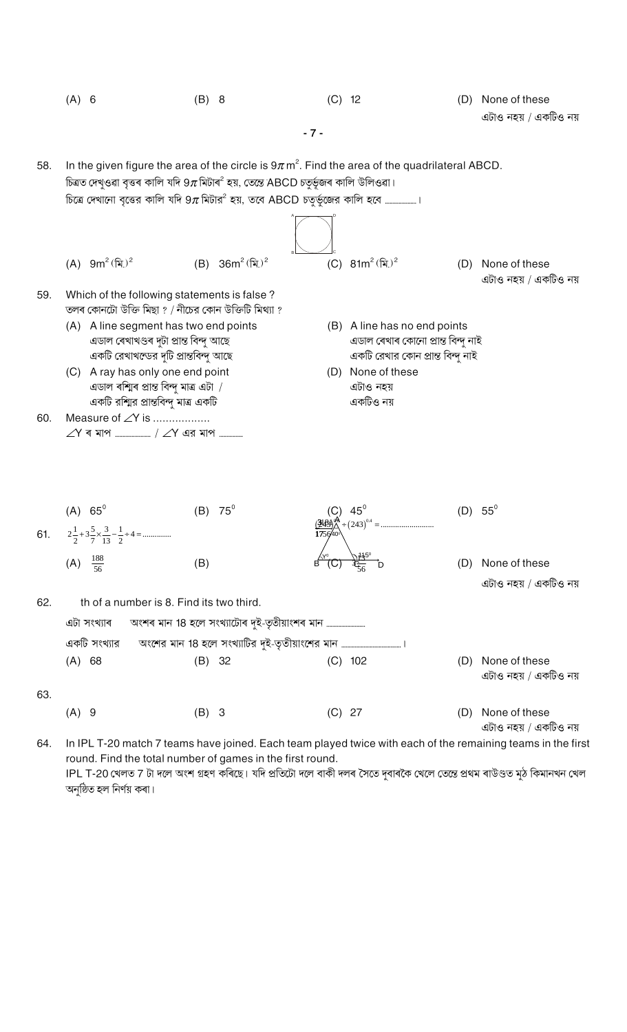|     | $(A)$ 6          |                                                                                                                           | $(B)$ 8                                                                                                                                                                                                     | $(C)$ 12 |                                                                                                         |     | (D) None of these<br>এটাও নহয় / একটিও নয় |
|-----|------------------|---------------------------------------------------------------------------------------------------------------------------|-------------------------------------------------------------------------------------------------------------------------------------------------------------------------------------------------------------|----------|---------------------------------------------------------------------------------------------------------|-----|--------------------------------------------|
|     |                  |                                                                                                                           | $-7 -$                                                                                                                                                                                                      |          |                                                                                                         |     |                                            |
| 58. |                  |                                                                                                                           | In the given figure the area of the circle is $9\pi$ m <sup>2</sup> . Find the area of the quadrilateral ABCD.<br>চিত্ৰত দেখুওৱা বৃত্তৰ কালি যদি 9 $\pi$ মিটাৰ $^2$ হয়, তেন্তে ABCD চতুৰ্ভূজৰ কালি উলিওৱা। |          |                                                                                                         |     |                                            |
|     |                  |                                                                                                                           |                                                                                                                                                                                                             |          |                                                                                                         |     |                                            |
|     |                  |                                                                                                                           |                                                                                                                                                                                                             |          |                                                                                                         |     |                                            |
|     |                  | (A) $9m^2 (\hat{x})^2$                                                                                                    | (B) $36m^2 (\hat{\mathbf{k}})^2$                                                                                                                                                                            |          | (C) $81m^2$ (মি.) <sup>2</sup>                                                                          |     | (D) None of these<br>এটাও নহয় / একটিও নয় |
| 59. |                  | Which of the following statements is false?<br>তলৰ কোনটো উক্তি মিছা ? / নীচের কোন উক্তিটি মিথ্যা ?                        |                                                                                                                                                                                                             |          |                                                                                                         |     |                                            |
|     |                  | (A) A line segment has two end points<br>এডাল ৰেখাখণ্ডৰ দুটা প্ৰান্ত বিন্দু আছে<br>একটি রেখাখন্ডের দুটি প্রান্তবিন্দু আছে |                                                                                                                                                                                                             |          | (B) A line has no end points<br>এডাল ৰেখাৰ কোনো প্ৰান্ত বিন্দু নাই<br>একটি রেখার কোন প্রান্ত বিন্দু নাই |     |                                            |
|     |                  | (C) A ray has only one end point<br>এডাল ৰশ্মিৰ প্ৰান্ত বিন্দু মাত্ৰ এটা /<br>একটি রশ্মির প্রান্তবিন্দু মাত্র একটি        |                                                                                                                                                                                                             |          | (D) None of these<br>এটাও নহয়<br>একটিও নয়                                                             |     |                                            |
| 60. |                  | Measure of $\angle Y$ is                                                                                                  |                                                                                                                                                                                                             |          |                                                                                                         |     |                                            |
|     |                  |                                                                                                                           |                                                                                                                                                                                                             |          |                                                                                                         |     |                                            |
| 61. | $(A) 65^{\circ}$ | $2\frac{1}{2}+3\frac{5}{7}\times\frac{3}{13}-\frac{1}{2}+4=$                                                              | $75^\circ$<br>(B)                                                                                                                                                                                           |          |                                                                                                         | (D) | $55^\circ$                                 |
|     | (A)              | $\frac{188}{56}$                                                                                                          | (B)                                                                                                                                                                                                         |          |                                                                                                         | (D) | None of these                              |
|     |                  |                                                                                                                           |                                                                                                                                                                                                             |          |                                                                                                         |     | এটাও নহয় / একটিও নয়                      |
| 62. |                  | th of a number is 8. Find its two third.                                                                                  |                                                                                                                                                                                                             |          |                                                                                                         |     |                                            |
|     |                  | এটা সংখ্যাৰ                                                                                                               |                                                                                                                                                                                                             |          |                                                                                                         |     |                                            |
|     |                  | একটি সংখ্যার                                                                                                              |                                                                                                                                                                                                             |          |                                                                                                         |     |                                            |
|     | (A) 68           |                                                                                                                           | $(B)$ 32                                                                                                                                                                                                    |          | $(C)$ 102                                                                                               | (D) | None of these<br>এটাও নহয় / একটিও নয়     |
| 63. | $(A)$ 9          |                                                                                                                           | $(B)$ 3                                                                                                                                                                                                     | $(C)$ 27 |                                                                                                         | (D) | None of these<br>এটাও নহয় / একটিও নয়     |

In IPL T-20 match 7 teams have joined. Each team played twice with each of the remaining teams in the first 64. round. Find the total number of games in the first round. ।<br>IPL T-20 খেলত 7 টা দলে অংশ গ্ৰহণ কৰিছে। যদি প্ৰতিটো দলে বাকী দলৰ সৈতে দুবাৰকৈ খেলে তেন্তে প্ৰথম ৰাউণ্ডত মুঠ কিমানখন খেল অনুষ্ঠিত হল নিৰ্ণয় কৰা।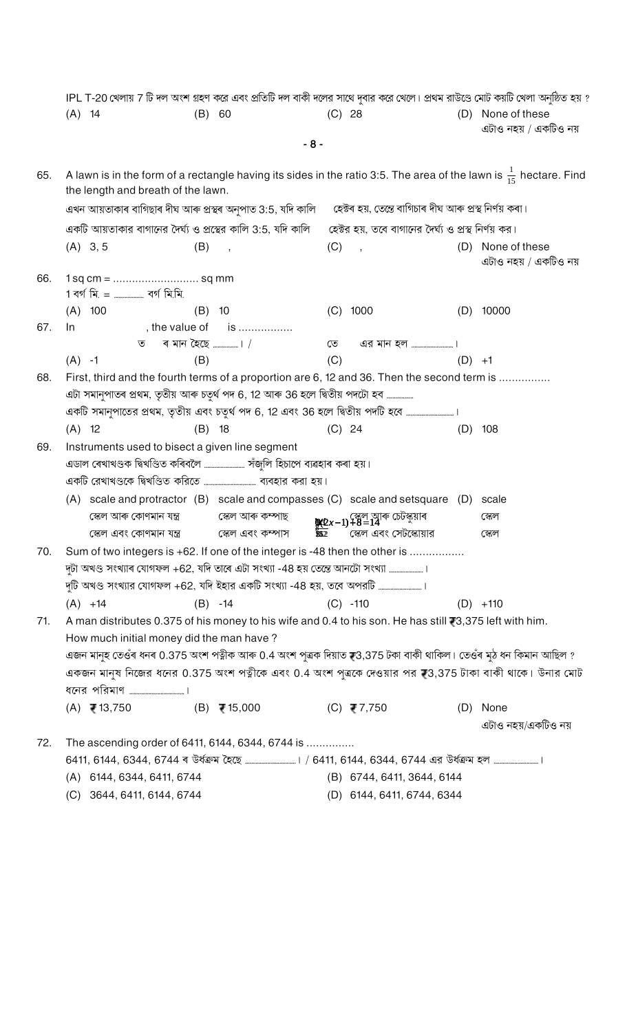|     |                                                                           |                                                       | IPL T-20 খেলায় 7 টি দল অংশ গ্রহণ করে এবং প্রতিটি দল বাকী দলের সাথে দুবার করে খেলে। প্রথম রাউণ্ডে মোট কয়টি খেলা অনুষ্ঠিত হয় ? |                                                                                                                   |                                            |  |  |  |  |  |  |
|-----|---------------------------------------------------------------------------|-------------------------------------------------------|---------------------------------------------------------------------------------------------------------------------------------|-------------------------------------------------------------------------------------------------------------------|--------------------------------------------|--|--|--|--|--|--|
|     | $(A)$ 14                                                                  | $(B)$ 60                                              | (C) 28                                                                                                                          |                                                                                                                   | (D) None of these<br>এটাও নহয় / একটিও নয় |  |  |  |  |  |  |
|     |                                                                           |                                                       | $-8-$                                                                                                                           |                                                                                                                   |                                            |  |  |  |  |  |  |
| 65. | the length and breath of the lawn.                                        |                                                       | A lawn is in the form of a rectangle having its sides in the ratio 3:5. The area of the lawn is $\frac{1}{15}$ hectare. Find    |                                                                                                                   |                                            |  |  |  |  |  |  |
|     |                                                                           |                                                       |                                                                                                                                 | এখন আয়তাকাৰ বাগিছাৰ দীঘ আৰু প্ৰস্থৰ অনুপাত 3:5, যদি কালি তেক্টেৰ হয়, তেন্তে বাগিচাৰ দীঘ আৰু প্ৰস্থ নিৰ্ণয় কৰা। |                                            |  |  |  |  |  |  |
|     |                                                                           |                                                       | একটি আয়তাকার বাগানের দৈর্ঘ্য ও প্রস্থের কালি 3:5, যদি কালি তহেক্টর হয়, তবে বাগানের দৈর্ঘ্য ও প্রস্থ নির্ণয় কর।               |                                                                                                                   |                                            |  |  |  |  |  |  |
|     | $(A)$ 3, 5                                                                | (B)<br>$\overline{\phantom{a}}$                       | (C)<br>$\overline{\phantom{a}}$                                                                                                 |                                                                                                                   | (D) None of these<br>এটাও নহয় / একটিও নয় |  |  |  |  |  |  |
| 66. | 1 বৰ্গ মি. =  বৰ্গ মি.মি.                                                 |                                                       |                                                                                                                                 |                                                                                                                   |                                            |  |  |  |  |  |  |
|     | $(A)$ 100                                                                 | $(B)$ 10                                              | $(C)$ 1000                                                                                                                      |                                                                                                                   | $(D)$ 10000                                |  |  |  |  |  |  |
| 67. | In                                                                        | , the value of is                                     |                                                                                                                                 |                                                                                                                   |                                            |  |  |  |  |  |  |
|     |                                                                           |                                                       | $\overline{\mathcal{O}}$                                                                                                        |                                                                                                                   |                                            |  |  |  |  |  |  |
|     | $(A) -1$                                                                  | (B)                                                   | (C)                                                                                                                             | $(D) +1$                                                                                                          |                                            |  |  |  |  |  |  |
| 68. |                                                                           |                                                       | First, third and the fourth terms of a proportion are 6, 12 and 36. Then the second term is                                     |                                                                                                                   |                                            |  |  |  |  |  |  |
|     |                                                                           |                                                       | এটা সমানুপাতৰ প্ৰথম, তৃতীয় আৰু চতুৰ্থ পদ 6, 12 আৰু 36 হলে দ্বিতীয় পদটো হব                                                     |                                                                                                                   |                                            |  |  |  |  |  |  |
|     |                                                                           |                                                       | একটি সমানুপাতের প্রথম, তৃতীয় এবং চতুর্থ পদ 6, 12 এবং 36 হলে দ্বিতীয় পদটি হবে                                                  |                                                                                                                   |                                            |  |  |  |  |  |  |
|     | $(A)$ 12                                                                  | $(B)$ 18                                              | $(C)$ 24                                                                                                                        | (D)                                                                                                               | 108                                        |  |  |  |  |  |  |
| 69. | Instruments used to bisect a given line segment                           |                                                       |                                                                                                                                 |                                                                                                                   |                                            |  |  |  |  |  |  |
|     | এডাল ৰেখাখণ্ডক দ্বিখণ্ডিত কৰিবলৈ ……………………. সঁজুলি হিচাপে ব্যৱহাৰ কৰা হয়। |                                                       |                                                                                                                                 |                                                                                                                   |                                            |  |  |  |  |  |  |
|     | একটি রেখাখণ্ডকে দ্বিখণ্ডিত করিতে ……………………………… ব্যবহার করা হয়।            |                                                       |                                                                                                                                 |                                                                                                                   |                                            |  |  |  |  |  |  |
|     |                                                                           |                                                       | (A) scale and protractor (B) scale and compasses (C) scale and setsquare (D)                                                    |                                                                                                                   | scale                                      |  |  |  |  |  |  |
|     |                                                                           | স্কেল আৰু কোণমান যন্ত্ৰ ব্যৱস্থাত স্কেল আৰু কম্পাছ    | $\frac{100}{200}(2x-1)+8=14$ চেটস্কুয়াৰ                                                                                        |                                                                                                                   | স্কেল                                      |  |  |  |  |  |  |
|     |                                                                           | স্কেল এবং কোণমান যন্ত্র              স্কেল এবং কম্পাস | স্কেল এবং সেটস্কোয়ার<br>852                                                                                                    |                                                                                                                   | স্কেল                                      |  |  |  |  |  |  |
| 70. |                                                                           |                                                       | Sum of two integers is +62. If one of the integer is -48 then the other is                                                      |                                                                                                                   |                                            |  |  |  |  |  |  |
|     |                                                                           |                                                       | দুটা অখণ্ড সংখ্যাৰ যোগফল +62, যদি তাৰে এটা সংখ্যা -48 হয় তেন্তে আনটো সংখ্যা ।                                                  |                                                                                                                   |                                            |  |  |  |  |  |  |
|     |                                                                           |                                                       | দুটি অখণ্ড সংখ্যার যোগফল +62, যদি ইহার একটি সংখ্যা -48 হয়, তবে অপরটি ।                                                         |                                                                                                                   |                                            |  |  |  |  |  |  |
|     | $(A) +14$                                                                 | $(B) -14$                                             | $(C) -110$                                                                                                                      |                                                                                                                   | $(D) +110$                                 |  |  |  |  |  |  |
| 71. |                                                                           |                                                       | A man distributes 0.375 of his money to his wife and 0.4 to his son. He has still 73,375 left with him.                         |                                                                                                                   |                                            |  |  |  |  |  |  |
|     | How much initial money did the man have?                                  |                                                       |                                                                                                                                 |                                                                                                                   |                                            |  |  |  |  |  |  |
|     |                                                                           |                                                       | এজন মানুহ তেওঁৰ ধনৰ 0.375 অংশ পত্নীক আৰু 0.4 অংশ পুত্ৰক দিয়াত ₹3,375 টকা বাকী থাকিল। তেওঁৰ মুঠ ধন কিমান আছিল ?                 |                                                                                                                   |                                            |  |  |  |  |  |  |
|     |                                                                           |                                                       | একজন মানুষ নিজের ধনের 0.375 অংশ পত্নীকে এবং 0.4 অংশ পুত্রকে দেওয়ার পর স্থ3,375 টাকা বাকী থাকে। উনার মোট                        |                                                                                                                   |                                            |  |  |  |  |  |  |
|     |                                                                           |                                                       |                                                                                                                                 |                                                                                                                   |                                            |  |  |  |  |  |  |
|     | (A) $\overline{e}$ 13,750 (B) $\overline{e}$ 15,000                       |                                                       | (C) ₹7,750                                                                                                                      |                                                                                                                   | (D) None                                   |  |  |  |  |  |  |
|     |                                                                           |                                                       |                                                                                                                                 |                                                                                                                   | এটাও নহয়/একটিও নয়                        |  |  |  |  |  |  |
| 72. | The ascending order of 6411, 6144, 6344, 6744 is                          |                                                       |                                                                                                                                 |                                                                                                                   |                                            |  |  |  |  |  |  |
|     |                                                                           |                                                       |                                                                                                                                 |                                                                                                                   |                                            |  |  |  |  |  |  |
|     | $(A)$ 6144, 6344, 6411, 6744                                              |                                                       | (B) 6744, 6411, 3644, 6144                                                                                                      |                                                                                                                   |                                            |  |  |  |  |  |  |
|     | $QCAA$ $CAA$ $CAA$ $CAA$ $CAA$                                            |                                                       | $(7)$ $6111$ $6111$ $6711$ $6911$                                                                                               |                                                                                                                   |                                            |  |  |  |  |  |  |

 $(C)$  3644, 6411, 6144, 6744

- 
- (D) 6144, 6411, 6744, 6344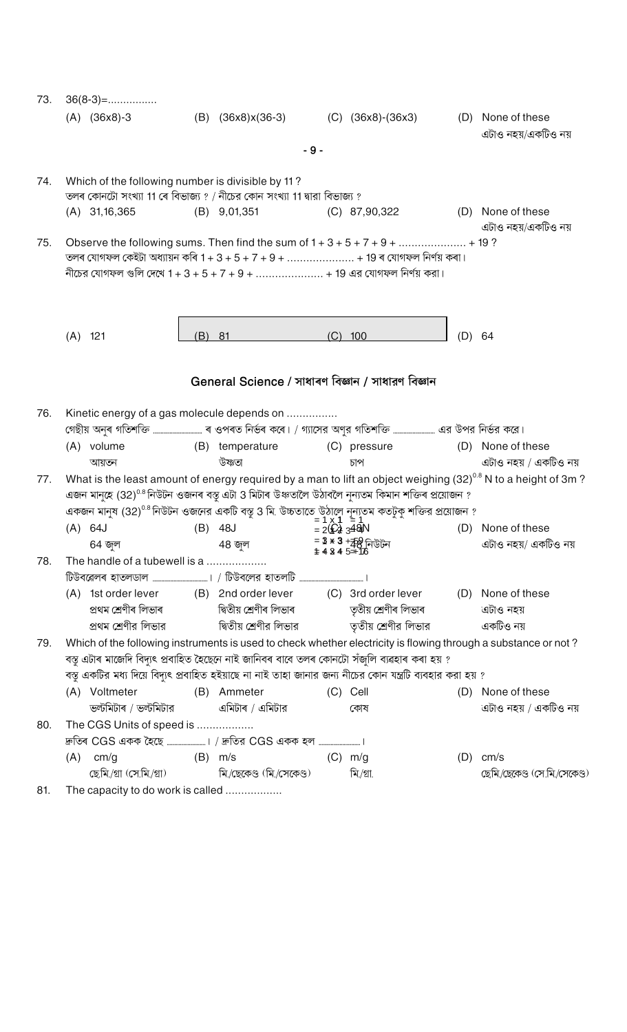| 73.            | $36(8-3)=$                                        |     |                                                                         |       |                                                                                                                                                                           |     |                                                                                                                   |
|----------------|---------------------------------------------------|-----|-------------------------------------------------------------------------|-------|---------------------------------------------------------------------------------------------------------------------------------------------------------------------------|-----|-------------------------------------------------------------------------------------------------------------------|
|                | $(A)$ $(36x8)-3$                                  |     |                                                                         |       | (B) (36x8)x(36-3) (C) (36x8)-(36x3)                                                                                                                                       |     | (D) None of these<br>এটাও নহয়/একটিও নয়                                                                          |
|                |                                                   |     |                                                                         | $-9-$ |                                                                                                                                                                           |     |                                                                                                                   |
| 74.            | Which of the following number is divisible by 11? |     | তলৰ কোনটো সংখ্যা 11 ৰে বিভাজ্য ? / নীচের কোন সংখ্যা 11 দ্বারা বিভাজ্য ? |       |                                                                                                                                                                           |     |                                                                                                                   |
|                | $(A)$ 31, 16, 365                                 |     | $(B)$ 9,01,351                                                          |       | $(C)$ 87,90,322                                                                                                                                                           |     | (D) None of these<br>এটাও নহয়/একটিও নয়                                                                          |
| 75.            |                                                   |     |                                                                         |       |                                                                                                                                                                           |     |                                                                                                                   |
|                |                                                   |     |                                                                         |       | তলৰ যোগফল কেইটা অধ্যায়ন কৰি $1 + 3 + 5 + 7 + 9 + \ldots + 19$ ৰ যোগফল নিৰ্ণয় কৰা।                                                                                       |     |                                                                                                                   |
|                |                                                   |     |                                                                         |       | নীচের যোগফল গুলি দেখে 1 + 3 + 5 + 7 + 9 +  + 19 এর যোগফল নির্ণয় করা।                                                                                                     |     |                                                                                                                   |
|                |                                                   |     |                                                                         |       |                                                                                                                                                                           |     |                                                                                                                   |
|                |                                                   |     |                                                                         |       |                                                                                                                                                                           |     |                                                                                                                   |
|                | $(A)$ 121                                         | (B) | 81                                                                      | (C)   | 100                                                                                                                                                                       | (D) | 64                                                                                                                |
|                |                                                   |     |                                                                         |       |                                                                                                                                                                           |     |                                                                                                                   |
|                |                                                   |     | General Science / সাধাৰণ বিজ্ঞান / সাধারণ বিজ্ঞান                       |       |                                                                                                                                                                           |     |                                                                                                                   |
|                |                                                   |     |                                                                         |       |                                                                                                                                                                           |     |                                                                                                                   |
| 76.            |                                                   |     | Kinetic energy of a gas molecule depends on                             |       | গেছীয় অনুৰ গতিশক্তি …………………………. ৰ ওপৰত নিৰ্ভৰ কৰে। / গ্যাসের অণুর গতিশক্তি …………………… এর উপর নির্ভর করে।                                                                   |     |                                                                                                                   |
|                | (A) volume                                        |     |                                                                         |       | (B) temperature (C) pressure (D) None of these                                                                                                                            |     |                                                                                                                   |
|                | আয়তন                                             |     | উষ্ণতা                                                                  |       | চাপ                                                                                                                                                                       |     | এটাও নহয় / একটিও নয়                                                                                             |
| 77.            |                                                   |     |                                                                         |       |                                                                                                                                                                           |     | What is the least amount of energy required by a man to lift an object weighing $(32)^{0.8}$ N to a height of 3m? |
|                |                                                   |     |                                                                         |       | এজন মানুহে (32) <sup>0.8</sup> নিউটন ওজনৰ বস্তু এটা 3 মিটাৰ উঞ্চতালৈ উঠাবলৈ নূন্যতম কিমান শক্তিৰ প্ৰয়োজন ?                                                               |     |                                                                                                                   |
|                |                                                   |     |                                                                         |       | একজন মানুষ (32) <sup>0.8</sup> নিউটন ওজনের একটি বস্তু 3 মি. উচ্চতাতে উঠালে নূন্যতম কতটুকু শক্তির প্রয়োজন ?<br>= 1 x <b>1</b> = 1<br>(D) (B) 48J = 2 <b>(£2 ∃4&amp;</b> N |     |                                                                                                                   |
|                |                                                   |     |                                                                         |       |                                                                                                                                                                           |     | (D) None of these<br>এটাও নহয়/ একটিও নয়                                                                         |
| 78.            | 64 জল<br>The handle of a tubewell is a            |     | 48 জুল                                                                  |       | = 3 * 3 +ক্8 নিউটন<br># 4 3 4 5 <del>=1</del> 76                                                                                                                          |     |                                                                                                                   |
|                |                                                   |     |                                                                         |       |                                                                                                                                                                           |     |                                                                                                                   |
|                |                                                   |     |                                                                         |       | (A) 1st order lever (B) 2nd order lever (C) 3rd order lever (D) None of these                                                                                             |     |                                                                                                                   |
|                |                                                   |     |                                                                         |       | প্ৰথম শ্ৰেণীৰ লিভাৰ বাবা দিতীয় শ্ৰেণীৰ লিভাৰ বাবা দ্যাত তৃতীয় শ্ৰেণীৰ লিভাৰ                                                                                             |     | এটাও নহয়                                                                                                         |
|                |                                                   |     |                                                                         |       | প্রথম শ্রেণীর লিভার                 দ্বিতীয় শ্রেণীর লিভার                  তৃতীয় শ্রেণীর লিভার                                                                          |     | একটিও নয়                                                                                                         |
| 79.            |                                                   |     |                                                                         |       |                                                                                                                                                                           |     | Which of the following instruments is used to check whether electricity is flowing through a substance or not?    |
|                |                                                   |     |                                                                         |       | বস্তু এটাৰ মাজেদি বিদ্যুৎ প্ৰবাহিত হৈছেনে নাই জানিবৰ বাবে তলৰ কোনটো সঁজুলি ব্যৱহাৰ কৰা হয় ?                                                                              |     |                                                                                                                   |
|                |                                                   |     |                                                                         |       | বস্তু একটির মধ্য দিয়ে বিদ্যুৎ প্রবাহিত হইয়াছে না নাই তাহা জানার জন্য নীচের কোন যন্ত্রটি ব্যবহার করা হয় ?                                                               |     |                                                                                                                   |
|                | (A) Voltmeter                                     |     | (B) Ammeter                                                             |       | (C) Cell                                                                                                                                                                  |     | (D) None of these                                                                                                 |
|                | ভল্টমিটাৰ / ভল্টমিটার                             |     | এমিটাৰ / এমিটার                                                         |       | কোষ                                                                                                                                                                       |     | এটাও নহয় / একটিও নয়                                                                                             |
| 80.            | The CGS Units of speed is                         |     |                                                                         |       |                                                                                                                                                                           |     |                                                                                                                   |
|                |                                                   |     |                                                                         |       |                                                                                                                                                                           |     |                                                                                                                   |
|                | $(A)$ cm/g                                        |     | $(B)$ m/s                                                               |       | $(C)$ m/g                                                                                                                                                                 |     | $(D)$ cm/s                                                                                                        |
|                |                                                   |     | ছেমি/গ্রা (সে.মি./গ্রা)               মি./ছেকেণ্ড (মি./সেকেণ্ড)         |       | মি./গ্ৰা.                                                                                                                                                                 |     | ছেমি/ছেকেণ্ড (সে.মি/সেকেণ্ড)                                                                                      |
| O <sub>1</sub> |                                                   |     |                                                                         |       |                                                                                                                                                                           |     |                                                                                                                   |

81. The capacity to do work is called ..................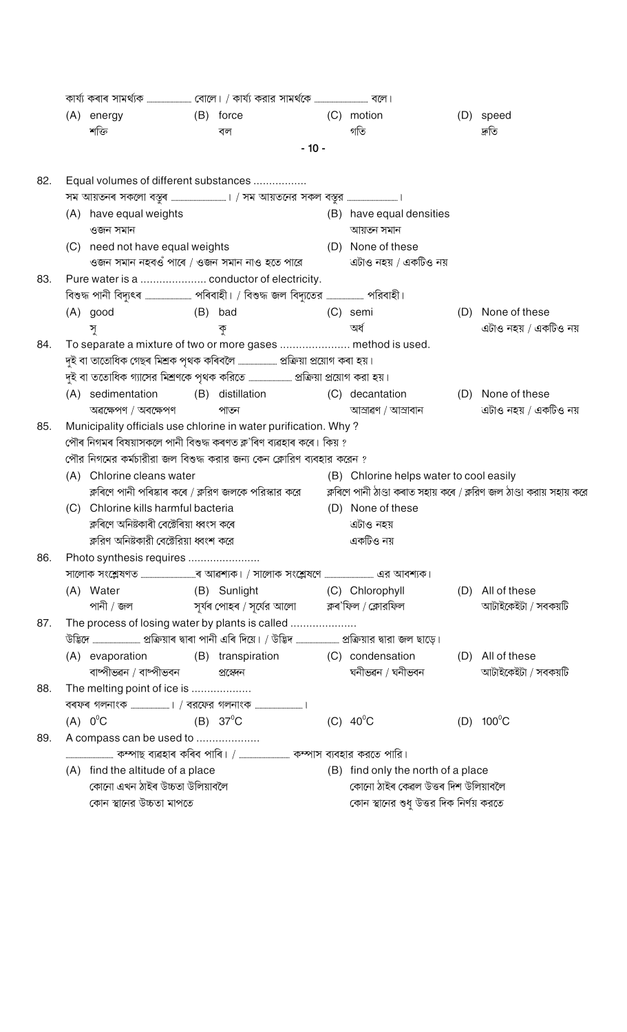|     |                                                      | (A) energy                               |  | (B) force                                                                                                                             |           | (C) motion                              |  | (D) speed                                                             |  |  |  |  |
|-----|------------------------------------------------------|------------------------------------------|--|---------------------------------------------------------------------------------------------------------------------------------------|-----------|-----------------------------------------|--|-----------------------------------------------------------------------|--|--|--|--|
|     |                                                      | শক্তি                                    |  | বল                                                                                                                                    |           | গতি                                     |  | তীন্ম                                                                 |  |  |  |  |
|     |                                                      |                                          |  | $-10-$                                                                                                                                |           |                                         |  |                                                                       |  |  |  |  |
| 82. | Equal volumes of different substances                |                                          |  |                                                                                                                                       |           |                                         |  |                                                                       |  |  |  |  |
|     |                                                      |                                          |  |                                                                                                                                       |           |                                         |  |                                                                       |  |  |  |  |
|     |                                                      | (A) have equal weights                   |  |                                                                                                                                       |           | (B) have equal densities                |  |                                                                       |  |  |  |  |
|     |                                                      | ওজন সমান                                 |  |                                                                                                                                       |           | আয়তন সমান                              |  |                                                                       |  |  |  |  |
|     |                                                      | (C) need not have equal weights          |  |                                                                                                                                       |           | (D) None of these                       |  |                                                                       |  |  |  |  |
|     |                                                      |                                          |  | ওজন সমান নহবওঁ পাৰে / ওজন সমান নাও হতে পারে                                                                                           |           | এটাও নহয় / একটিও নয়                   |  |                                                                       |  |  |  |  |
| 83. |                                                      |                                          |  | Pure water is a  conductor of electricity.                                                                                            |           |                                         |  |                                                                       |  |  |  |  |
|     |                                                      |                                          |  |                                                                                                                                       |           |                                         |  |                                                                       |  |  |  |  |
|     |                                                      | (B) bad<br>(A) good                      |  |                                                                                                                                       |           | (C) semi                                |  | (D) None of these                                                     |  |  |  |  |
|     |                                                      | সৃ                                       |  | কৃ                                                                                                                                    |           | অৰ্ধ                                    |  | এটাও নহয় / একটিও নয়                                                 |  |  |  |  |
| 84. |                                                      |                                          |  | To separate a mixture of two or more gases  method is used.                                                                           |           |                                         |  |                                                                       |  |  |  |  |
|     |                                                      |                                          |  |                                                                                                                                       |           |                                         |  |                                                                       |  |  |  |  |
|     |                                                      |                                          |  | দুই বা ততোধিক গ্যাসের মিশ্রণকে পৃথক করিতে ……………………… প্রক্রিয়া প্রয়োগ করা হয়।                                                       |           |                                         |  |                                                                       |  |  |  |  |
|     |                                                      | (A) sedimentation                        |  | (B) distillation (C) decantation (D) None of these                                                                                    |           |                                         |  |                                                                       |  |  |  |  |
|     |                                                      | অৱক্ষেপণ / অবক্ষেপণ                      |  | পাজা                                                                                                                                  |           | আস্ৰাৱণ / আস্ৰাবান                      |  | এটাও নহয় / একটিও নয়                                                 |  |  |  |  |
| 85. |                                                      |                                          |  | Municipality officials use chlorine in water purification. Why?<br>পৌৰ নিগমৰ বিষয়াসকলে পানী বিশুদ্ধ কৰণত ক্ল'ৰিণ ব্যৱহাৰ কৰে। কিয় ? |           |                                         |  |                                                                       |  |  |  |  |
|     |                                                      |                                          |  | পৌর নিগমের কর্মচারীরা জল বিশুদ্ধ করার জন্য কেন ক্লোরিণ ব্যবহার করেন ?                                                                 |           |                                         |  |                                                                       |  |  |  |  |
|     |                                                      | (A) Chlorine cleans water                |  |                                                                                                                                       |           | (B) Chlorine helps water to cool easily |  |                                                                       |  |  |  |  |
|     | ক্লৰিণে পানী পৰিষ্কাৰ কৰে / ক্লরিণ জলকে পরিস্কার করে |                                          |  |                                                                                                                                       |           |                                         |  | ক্লৰিণে পানী ঠাণ্ডা কৰাত সহায় কৰে / ক্লরিণ জল ঠাণ্ডা করায় সহায় করে |  |  |  |  |
|     |                                                      | (C) Chlorine kills harmful bacteria      |  |                                                                                                                                       |           | (D) None of these                       |  |                                                                       |  |  |  |  |
|     |                                                      | ক্লৰিণে অনিষ্টকাৰী বেক্টেৰিয়া ধ্বংস কৰে |  |                                                                                                                                       | এটাও নহয় |                                         |  |                                                                       |  |  |  |  |
|     |                                                      | ক্লরিণ অনিষ্টকারী বেক্টেরিয়া ধ্বংশ করে  |  |                                                                                                                                       | একটিও নয় |                                         |  |                                                                       |  |  |  |  |
| 86. |                                                      | Photo synthesis requires                 |  |                                                                                                                                       |           |                                         |  |                                                                       |  |  |  |  |
|     |                                                      |                                          |  |                                                                                                                                       |           |                                         |  |                                                                       |  |  |  |  |
|     |                                                      | (B) Sunlight<br>(A) Water                |  |                                                                                                                                       |           | (C) Chlorophyll                         |  | (D) All of these                                                      |  |  |  |  |
|     |                                                      |                                          |  | পানী / জল                    সুৰ্যৰ পোহৰ / সূৰ্যের আলো          ক্লৰ'ফিল / ক্লোরফিল                                                   |           |                                         |  | আটাইকেইটা / সবকয়টি                                                   |  |  |  |  |
| 87. |                                                      |                                          |  | The process of losing water by plants is called                                                                                       |           |                                         |  |                                                                       |  |  |  |  |
|     |                                                      |                                          |  |                                                                                                                                       |           |                                         |  |                                                                       |  |  |  |  |
|     |                                                      | (A) evaporation                          |  | (B) transpiration (C) condensation                                                                                                    |           |                                         |  | (D) All of these                                                      |  |  |  |  |
|     |                                                      | বাষ্পীভৱন / বাষ্পীভবন                    |  | প্ৰস্তেদন                                                                                                                             |           | ঘনীভৱন / ঘনীভবন                         |  | আটাইকেইটা / সবকয়টি                                                   |  |  |  |  |
| 88. |                                                      | The melting point of ice is              |  |                                                                                                                                       |           |                                         |  |                                                                       |  |  |  |  |
|     |                                                      |                                          |  |                                                                                                                                       |           |                                         |  |                                                                       |  |  |  |  |
|     |                                                      | $(A)$ $0^{\circ}$ C                      |  | (B) $37^{\circ}$ C                                                                                                                    |           | (C) $40^{\circ}$ C                      |  | (D) $100^{\circ}$ C                                                   |  |  |  |  |
| 89. |                                                      | A compass can be used to                 |  |                                                                                                                                       |           |                                         |  |                                                                       |  |  |  |  |
|     |                                                      |                                          |  |                                                                                                                                       |           |                                         |  |                                                                       |  |  |  |  |
|     |                                                      | (A) find the altitude of a place         |  | (B) find only the north of a place                                                                                                    |           |                                         |  |                                                                       |  |  |  |  |
|     | কোনো এখন ঠাইৰ উচ্চতা উলিয়াবলৈ                       |                                          |  |                                                                                                                                       |           | কোনো ঠাইৰ কেৱল উত্তৰ দিশ উলিয়াবলৈ      |  |                                                                       |  |  |  |  |
|     |                                                      | কোন স্থানের উচ্চতা মাপতে                 |  |                                                                                                                                       |           | কোন স্থানের শুধু উত্তর দিক নির্ণয় করতে |  |                                                                       |  |  |  |  |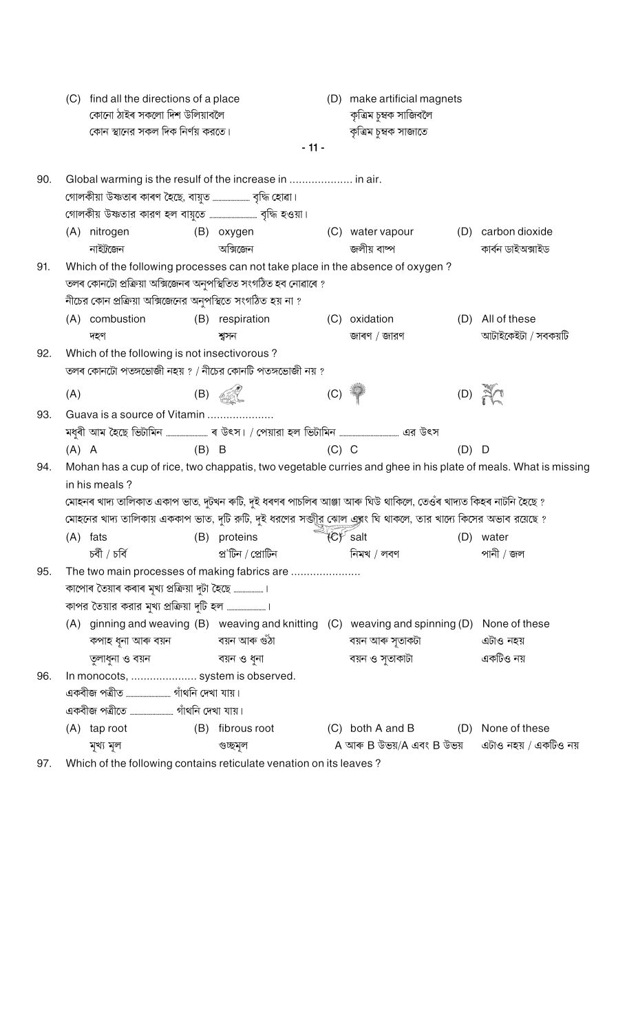|     | (C)                                                      | find all the directions of a place                         |         |                                                                                                                                                                                                                 |         | (D) make artificial magnets |         |                                                                                                               |  |  |  |  |
|-----|----------------------------------------------------------|------------------------------------------------------------|---------|-----------------------------------------------------------------------------------------------------------------------------------------------------------------------------------------------------------------|---------|-----------------------------|---------|---------------------------------------------------------------------------------------------------------------|--|--|--|--|
|     |                                                          | কোনো ঠাইৰ সকলো দিশ উলিয়াবলৈ                               |         |                                                                                                                                                                                                                 |         | কৃত্ৰিম চুম্বক সাজিবলৈ      |         |                                                                                                               |  |  |  |  |
|     |                                                          | কোন স্থানের সকল দিক নির্ণয় করতে।                          |         |                                                                                                                                                                                                                 |         | কৃত্ৰিম চুম্বক সাজাতে       |         |                                                                                                               |  |  |  |  |
|     |                                                          |                                                            |         | $-11-$                                                                                                                                                                                                          |         |                             |         |                                                                                                               |  |  |  |  |
| 90. | Global warming is the resulf of the increase in  in air. |                                                            |         |                                                                                                                                                                                                                 |         |                             |         |                                                                                                               |  |  |  |  |
|     |                                                          |                                                            |         |                                                                                                                                                                                                                 |         |                             |         |                                                                                                               |  |  |  |  |
|     |                                                          |                                                            |         |                                                                                                                                                                                                                 |         |                             |         |                                                                                                               |  |  |  |  |
|     |                                                          | (A) nitrogen                                               |         | (B) oxygen                                                                                                                                                                                                      |         | (C) water vapour            |         | (D) carbon dioxide                                                                                            |  |  |  |  |
|     |                                                          | নাইট্রজেন                                                  |         | অক্সিজেন                                                                                                                                                                                                        |         | জলীয় বাষ্প                 |         | কাৰ্বন ডাইঅক্সাইড                                                                                             |  |  |  |  |
| 91. |                                                          |                                                            |         | Which of the following processes can not take place in the absence of oxygen?                                                                                                                                   |         |                             |         |                                                                                                               |  |  |  |  |
|     |                                                          |                                                            |         | তলৰ কোনটো প্ৰক্ৰিয়া অক্সিজেনৰ অনুপস্থিতিত সংগঠিত হব নোৱাৰে ?                                                                                                                                                   |         |                             |         |                                                                                                               |  |  |  |  |
|     |                                                          | নীচের কোন প্রক্রিয়া অক্সিজেনের অনুপস্থিতে সংগঠিত হয় না ? |         |                                                                                                                                                                                                                 |         |                             |         |                                                                                                               |  |  |  |  |
|     |                                                          | (A) combustion                                             |         | (B) respiration                                                                                                                                                                                                 | (C)     | oxidation                   |         | (D) All of these                                                                                              |  |  |  |  |
|     |                                                          | দহণ                                                        |         | শ্বসন                                                                                                                                                                                                           |         | জাৰণ / জারণ                 |         | আটাইকেইটা / সবকয়টি                                                                                           |  |  |  |  |
| 92. |                                                          | Which of the following is not insectivorous?               |         |                                                                                                                                                                                                                 |         |                             |         |                                                                                                               |  |  |  |  |
|     |                                                          |                                                            |         | তলৰ কোনটো পতঙ্গভোজী নহয় ? / নীচের কোনটি পতঙ্গভোজী নয় ?                                                                                                                                                        |         |                             |         |                                                                                                               |  |  |  |  |
|     | (A)                                                      |                                                            |         | $(B)$ $\mathbb{Z}$                                                                                                                                                                                              | (C)     |                             |         | $(D)$ $\mathbb{R}$                                                                                            |  |  |  |  |
| 93. | Guava is a source of Vitamin                             |                                                            |         |                                                                                                                                                                                                                 |         |                             |         |                                                                                                               |  |  |  |  |
|     |                                                          |                                                            |         |                                                                                                                                                                                                                 |         |                             |         |                                                                                                               |  |  |  |  |
|     | $(A)$ A                                                  |                                                            | $(B)$ B |                                                                                                                                                                                                                 | $(C)$ C |                             | $(D)$ D |                                                                                                               |  |  |  |  |
| 94. |                                                          |                                                            |         |                                                                                                                                                                                                                 |         |                             |         | Mohan has a cup of rice, two chappatis, two vegetable curries and ghee in his plate of meals. What is missing |  |  |  |  |
|     |                                                          | in his meals?                                              |         | মোহনৰ খাদ্য তালিকাত একাপ ভাত, দুটখন ৰুটি, দুই ধৰণৰ পাচলিৰ আঞ্জা আৰু ঘিউ থাকিলে, তেওঁৰ খাদ্যত কিহৰ নাটনি হৈছে ?                                                                                                  |         |                             |         |                                                                                                               |  |  |  |  |
|     |                                                          |                                                            |         |                                                                                                                                                                                                                 |         |                             |         |                                                                                                               |  |  |  |  |
|     |                                                          |                                                            |         | মোহনের খাদ্য তালিকায় এককাপ ভাত, দুটি রুটি, দুই ধরণের সক্তীর ঝোল এবং ঘি থাকলে, তার খাদ্যে কিসের অভাব রয়েছে ?<br>(A) fats                                 (B) proteins                                 (C) salt |         |                             |         |                                                                                                               |  |  |  |  |
|     |                                                          | চৰ্বী / চৰ্বি                                              |         | প্ৰ'টিন / প্ৰোটিন                                                                                                                                                                                               |         | নিমখ / লবণ                  |         | পানী / জল                                                                                                     |  |  |  |  |
| 95. |                                                          |                                                            |         | The two main processes of making fabrics are                                                                                                                                                                    |         |                             |         |                                                                                                               |  |  |  |  |
|     |                                                          | কাপোৰ তৈয়াৰ কৰাৰ মূখ্য প্ৰক্ৰিয়া দুটা হৈছে  ।            |         |                                                                                                                                                                                                                 |         |                             |         |                                                                                                               |  |  |  |  |
|     |                                                          |                                                            |         |                                                                                                                                                                                                                 |         |                             |         |                                                                                                               |  |  |  |  |
|     |                                                          |                                                            |         | (A) ginning and weaving (B) weaving and knitting (C) weaving and spinning (D) None of these                                                                                                                     |         |                             |         |                                                                                                               |  |  |  |  |
|     |                                                          |                                                            |         |                                                                                                                                                                                                                 |         | বয়ন আৰু সৃতাকটা            |         | এটাও নহয়                                                                                                     |  |  |  |  |
|     |                                                          | তুলাধুনা ও বয়ন                                            |         | বয়ন ও ধুনা                                                                                                                                                                                                     |         | বয়ন ও সুতাকাটা             |         | একটিও নয়                                                                                                     |  |  |  |  |
| 96. |                                                          | In monocots,  system is observed.                          |         |                                                                                                                                                                                                                 |         |                             |         |                                                                                                               |  |  |  |  |
|     |                                                          |                                                            |         |                                                                                                                                                                                                                 |         |                             |         |                                                                                                               |  |  |  |  |
|     |                                                          |                                                            |         |                                                                                                                                                                                                                 |         |                             |         |                                                                                                               |  |  |  |  |
|     |                                                          | $(A)$ tap root                                             |         | (B) fibrous root                                                                                                                                                                                                |         | (C) both A and B            |         | (D) None of these                                                                                             |  |  |  |  |
|     |                                                          | মূখ্য মূল                                                  |         | গুচ্ছমূল                                                                                                                                                                                                        |         | A আৰু B উভয়/A এবং B উভয়   |         | এটাও নহয় / একটিও নয়                                                                                         |  |  |  |  |
| 97. |                                                          |                                                            |         | Which of the following contains reticulate venation on its leaves?                                                                                                                                              |         |                             |         |                                                                                                               |  |  |  |  |